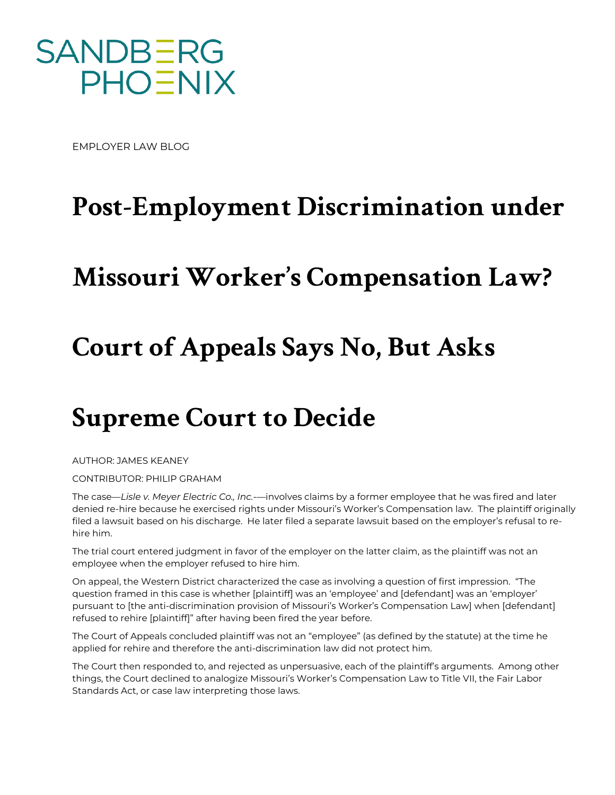

EMPLOYER LAW BLOG

## **Post-Employment Discrimination under**

## **Missouri Worker's Compensation Law?**

## **Court of Appeals Says No, But Asks**

## **Supreme Court to Decide**

AUTHOR: JAMES KEANEY

CONTRIBUTOR: PHILIP GRAHAM

The case—*Lisle v. Meyer Electric Co., Inc.*—involves claims by a former employee that he was fired and later denied re-hire because he exercised rights under Missouri's Worker's Compensation law. The plaintiff originally filed a lawsuit based on his discharge. He later filed a separate lawsuit based on the employer's refusal to rehire him.

The trial court entered judgment in favor of the employer on the latter claim, as the plaintiff was not an employee when the employer refused to hire him.

On appeal, the Western District characterized the case as involving a question of first impression. "The question framed in this case is whether [plaintiff] was an 'employee' and [defendant] was an 'employer' pursuant to [the anti-discrimination provision of Missouri's Worker's Compensation Law] when [defendant] refused to rehire [plaintiff]" after having been fired the year before.

The Court of Appeals concluded plaintiff was not an "employee" (as defined by the statute) at the time he applied for rehire and therefore the anti-discrimination law did not protect him.

The Court then responded to, and rejected as unpersuasive, each of the plaintiff's arguments. Among other things, the Court declined to analogize Missouri's Worker's Compensation Law to Title VII, the Fair Labor Standards Act, or case law interpreting those laws.